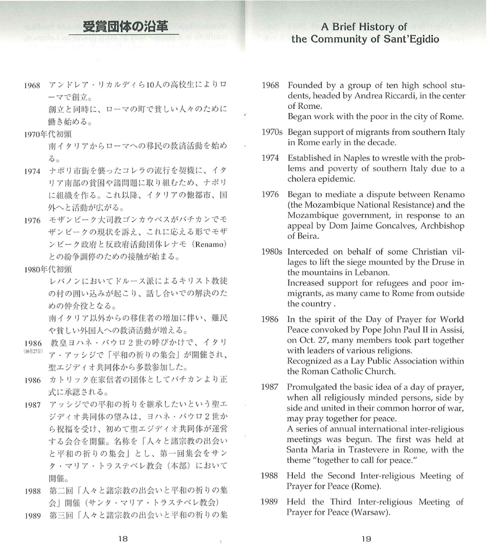## 受賞団体の沿革

## A Brief History of the Community of Sant'Egidio

1968 アンドレア・リカルディら10人の高校生によりロ ーマで創立

> 創立と同時に、ローマの町で貧しい人々のために 働き始める。

## 1970年代初頭

南イタリアからローマへの移民の救済活動を始め  $300$ 

- 1974 ナポリ市街を襲ったコレラの流行を契機に、イタ リア南部の 困や諸問題に取り組むため、ナポリ に組織を作る。これ以降、イタリアの他都市、国 外へと活動が広がる。
- 1976 モザンピーク大司教ゴンカウベスがバチカンでモ ザンピークの現状を訴え これに応える形でモザ ンピーク政府と反政府活動団体レナモ (Renamo) との紛争調停のための接触が始まる

## 1980年代初頭

レバノンにおいてドルース派によるキリスト教徒 の村の囲い込みが起こり、話し合いでの解決のた めの仲介役となる。

南イタリア以外からの移住者の増加に伴い、難民 や貧しい外国人への救済活動が増える。

- 1986 教皇ヨハネ・パウロ2世の呼びかけで、イタリ
- (10月27日) ア・アッシジで「平和の祈りの集会」が開催され、 聖エジディオ共同体から多数参加した。
- 1986 カトリック在家信者の団体としてバチカンより正 式に承認される。
- 1987 アッシジでの平和の祈りを継承したいという聖エ ジディオ共同体の望みは、ヨハネ・パウロ2世か ら祝福を受け、初めて聖エジディオ共同体が運営 する会合を開催。名称を「人々と諸宗教の出会い と平和の祈りの集会」とし、第一回集会をサン タ・マリア・トラステベレ教会 (本部)において 開催
- 1988 第二回「人々と諸宗教の出会いと平和の祈りの集 会| 開催(サンタ・マリア・トラステベレ教会)
- 1989 第三回「人々と諸宗教の出会いと平和の祈りの集

1968 Founded by a group of ten high school students, headed by Andrea Riccardi, in the center of Rome.

Began work with the poor in the city of Rome.

- 1970s Began support of migrants from southern Italy in Rome early in the decade.
- 1974 Established in Naples to wrestle with the problems and poverty of southern Italy due to a cholera epidemic
- 1976 Began to mediate a dispute between Renamo (the Mozambique National Resistance) and the Mozambique government, in response to an appeal by Oom Jaime Goncalves, Archbishop of Beira.
- 1980s Interceded on behalf of some Christian villages to lift the siege mounted by the Druse in the mountains in Lebanon. 1ncreased support for refugees and poor immigrants, as many came to Rome from outside the country.
- 1986 1n the spirit of the Oay of Prayer for World Peace convoked by Pope John Paul II in Assisi, on Oct. 27, many members took part together with leaders of various religions. Recognized as a Lay Public Association within the Roman Catholic Church.
- 1987 Promulgated the basic idea of a day of prayer, when all religiously minded persons, side by side and united in their common horror of war, may pray together for peace. A series of annual international inter-religious meetings was begun. The first was held at Santa Maria in Trastevere in Rome, with the theme "together to call for peace."
- 1988 Held the Second Inter-religious Meeting of Prayer for Peace (Rome).
- 1989 Held the Third Inter-religious Meeting of Prayer for Peace (Warsaw).